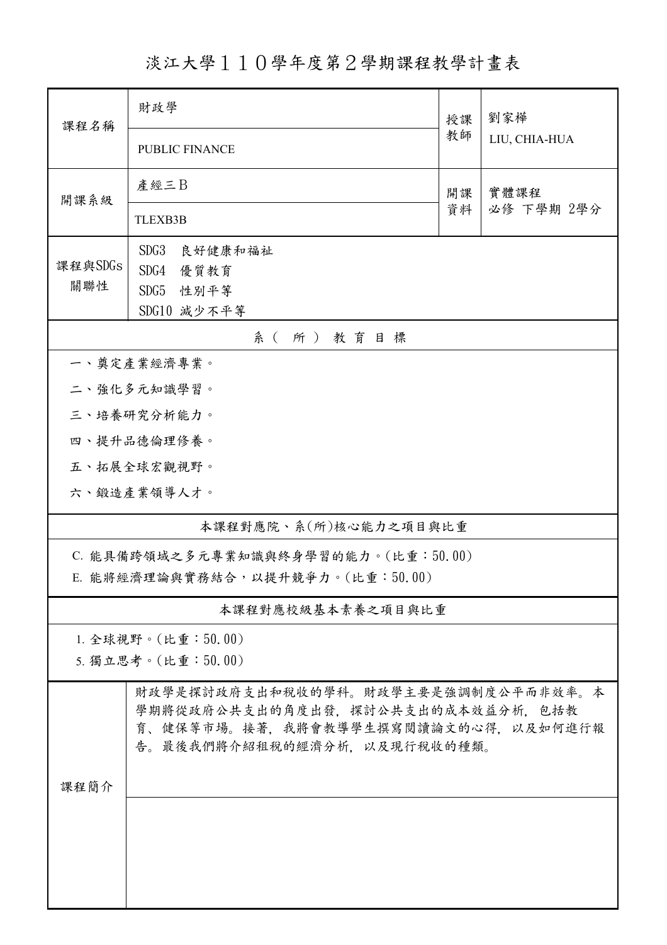淡江大學110學年度第2學期課程教學計畫表

| 課程名稱                                | 財政學                                                                                                                                            |          | 劉家樺                |  |  |  |
|-------------------------------------|------------------------------------------------------------------------------------------------------------------------------------------------|----------|--------------------|--|--|--|
|                                     | <b>PUBLIC FINANCE</b>                                                                                                                          | 教師       | LIU, CHIA-HUA      |  |  |  |
| 開課系級                                | 產經三B                                                                                                                                           | 開課<br>資料 | 實體課程<br>必修 下學期 2學分 |  |  |  |
|                                     | <b>TLEXB3B</b>                                                                                                                                 |          |                    |  |  |  |
| 課程與SDGs                             | SDG3<br>良好健康和福祉<br>SDG4<br>優質教育                                                                                                                |          |                    |  |  |  |
| 關聯性                                 | SDG5<br>性別平等                                                                                                                                   |          |                    |  |  |  |
|                                     | SDG10 減少不平等                                                                                                                                    |          |                    |  |  |  |
| 系(所)教育目標                            |                                                                                                                                                |          |                    |  |  |  |
|                                     | 一、奠定產業經濟專業。                                                                                                                                    |          |                    |  |  |  |
|                                     | 二、強化多元知識學習。<br>三、培養研究分析能力。                                                                                                                     |          |                    |  |  |  |
| 四、提升品德倫理修養。                         |                                                                                                                                                |          |                    |  |  |  |
|                                     | 五、拓展全球宏觀視野。                                                                                                                                    |          |                    |  |  |  |
|                                     | 六、鍛造產業領導人才。                                                                                                                                    |          |                    |  |  |  |
| 本課程對應院、系(所)核心能力之項目與比重               |                                                                                                                                                |          |                    |  |  |  |
| C. 能具備跨領域之多元專業知識與終身學習的能力。(比重:50.00) |                                                                                                                                                |          |                    |  |  |  |
| E. 能將經濟理論與實務結合,以提升競爭力。(比重:50.00)    |                                                                                                                                                |          |                    |  |  |  |
| 本課程對應校級基本素養之項目與比重                   |                                                                                                                                                |          |                    |  |  |  |
| 1. 全球視野。(比重:50.00)                  |                                                                                                                                                |          |                    |  |  |  |
| 5. 獨立思考。(比重:50.00)                  |                                                                                                                                                |          |                    |  |  |  |
|                                     | 財政學是探討政府支出和稅收的學科。財政學主要是強調制度公平而非效率。本<br>學期將從政府公共支出的角度出發,探討公共支出的成本效益分析,包括教<br>育、健保等市場。接著,我將會教導學生撰寫閱讀論文的心得,以及如何進行報<br>告。最後我們將介紹租稅的經濟分析,以及現行稅收的種類。 |          |                    |  |  |  |
| 課程簡介                                |                                                                                                                                                |          |                    |  |  |  |
|                                     |                                                                                                                                                |          |                    |  |  |  |
|                                     |                                                                                                                                                |          |                    |  |  |  |
|                                     |                                                                                                                                                |          |                    |  |  |  |
|                                     |                                                                                                                                                |          |                    |  |  |  |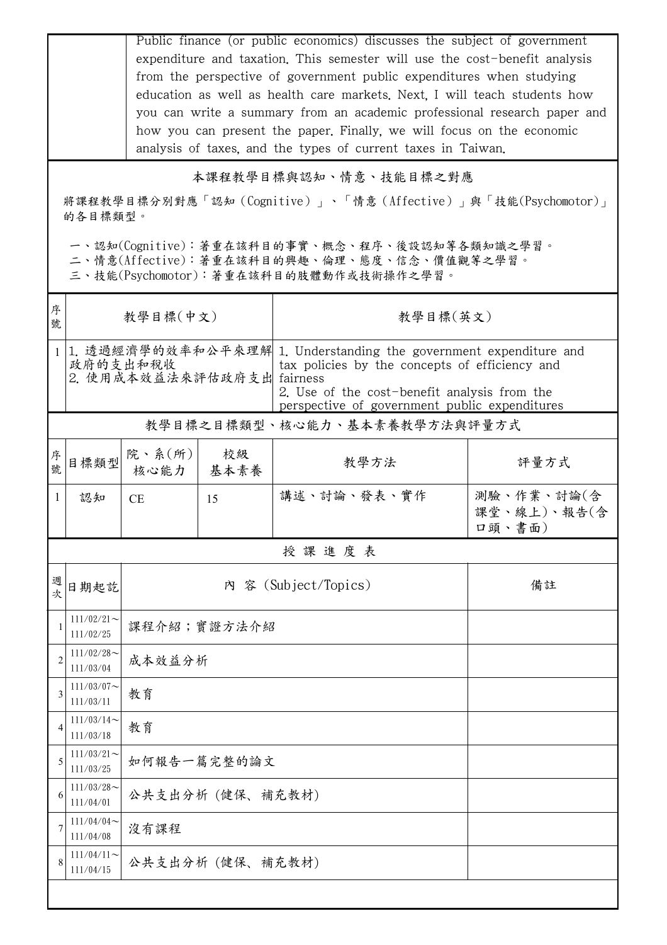|                                                                                                  |                                                                                                                                         | Public finance (or public economics) discusses the subject of government<br>expenditure and taxation. This semester will use the cost-benefit analysis<br>from the perspective of government public expenditures when studying<br>education as well as health care markets. Next, I will teach students how<br>you can write a summary from an academic professional research paper and<br>how you can present the paper. Finally, we will focus on the economic<br>analysis of taxes, and the types of current taxes in Taiwan. |                      |             |                                     |  |  |  |
|--------------------------------------------------------------------------------------------------|-----------------------------------------------------------------------------------------------------------------------------------------|----------------------------------------------------------------------------------------------------------------------------------------------------------------------------------------------------------------------------------------------------------------------------------------------------------------------------------------------------------------------------------------------------------------------------------------------------------------------------------------------------------------------------------|----------------------|-------------|-------------------------------------|--|--|--|
| 本課程教學目標與認知、情意、技能目標之對應<br>將課程教學目標分別對應「認知(Cognitive)」、「情意(Affective)」與「技能(Psychomotor)」<br>的各目標類型。 |                                                                                                                                         |                                                                                                                                                                                                                                                                                                                                                                                                                                                                                                                                  |                      |             |                                     |  |  |  |
|                                                                                                  | 一、認知(Cognitive):著重在該科目的事實、概念、程序、後設認知等各類知識之學習。<br>二、情意(Affective): 著重在該科目的興趣、倫理、態度、信念、價值觀等之學習。<br>三、技能(Psychomotor):著重在該科目的肢體動作或技術操作之學習。 |                                                                                                                                                                                                                                                                                                                                                                                                                                                                                                                                  |                      |             |                                     |  |  |  |
| 序<br>號                                                                                           |                                                                                                                                         | 教學目標(中文)                                                                                                                                                                                                                                                                                                                                                                                                                                                                                                                         |                      | 教學目標(英文)    |                                     |  |  |  |
|                                                                                                  |                                                                                                                                         | 1 1. 透過經濟學的效率和公平來理解 1. Understanding the government expenditure and<br>政府的支出和税收<br>tax policies by the concepts of efficiency and<br>2. 使用成本效益法來評估政府支出 fairness<br>2. Use of the cost-benefit analysis from the<br>perspective of government public expenditures                                                                                                                                                                                                                                                                 |                      |             |                                     |  |  |  |
| 教學目標之目標類型、核心能力、基本素養教學方法與評量方式                                                                     |                                                                                                                                         |                                                                                                                                                                                                                                                                                                                                                                                                                                                                                                                                  |                      |             |                                     |  |  |  |
| 序號                                                                                               | 目標類型                                                                                                                                    | 院、系(所)<br>核心能力                                                                                                                                                                                                                                                                                                                                                                                                                                                                                                                   | 校級<br>基本素養           | 教學方法        | 評量方式                                |  |  |  |
| $\mathbf{1}$                                                                                     | 認知                                                                                                                                      | CE                                                                                                                                                                                                                                                                                                                                                                                                                                                                                                                               | 15                   | 講述、討論、發表、實作 | 測驗、作業、討論(含<br>課堂、線上)、報告(含<br>口頭、書面) |  |  |  |
| 授課進度表                                                                                            |                                                                                                                                         |                                                                                                                                                                                                                                                                                                                                                                                                                                                                                                                                  |                      |             |                                     |  |  |  |
| 週<br>欤                                                                                           | 日期起訖                                                                                                                                    |                                                                                                                                                                                                                                                                                                                                                                                                                                                                                                                                  | 內 容 (Subject/Topics) |             |                                     |  |  |  |
| 1                                                                                                | $111/02/21$ ~<br>111/02/25                                                                                                              |                                                                                                                                                                                                                                                                                                                                                                                                                                                                                                                                  | 課程介紹;實證方法介紹          |             |                                     |  |  |  |
| $\overline{2}$                                                                                   | $111/02/28$ ~<br>111/03/04                                                                                                              | 成本效益分析                                                                                                                                                                                                                                                                                                                                                                                                                                                                                                                           |                      |             |                                     |  |  |  |
| 3                                                                                                | $111/03/07$ ~<br>111/03/11                                                                                                              | 教育                                                                                                                                                                                                                                                                                                                                                                                                                                                                                                                               |                      |             |                                     |  |  |  |
| 4                                                                                                | $111/03/14$ ~<br>111/03/18                                                                                                              | 教育                                                                                                                                                                                                                                                                                                                                                                                                                                                                                                                               |                      |             |                                     |  |  |  |
| 5                                                                                                | $111/03/21$ ~<br>111/03/25                                                                                                              | 如何報告一篇完整的論文                                                                                                                                                                                                                                                                                                                                                                                                                                                                                                                      |                      |             |                                     |  |  |  |
| 6                                                                                                | $111/03/28$ ~<br>111/04/01                                                                                                              | 公共支出分析 (健保、補充教材)                                                                                                                                                                                                                                                                                                                                                                                                                                                                                                                 |                      |             |                                     |  |  |  |
|                                                                                                  | 111/04/04<br>111/04/08                                                                                                                  | 沒有課程                                                                                                                                                                                                                                                                                                                                                                                                                                                                                                                             |                      |             |                                     |  |  |  |
| 8                                                                                                | $111/04/11$ ~<br>111/04/15                                                                                                              | 公共支出分析 (健保、補充教材)                                                                                                                                                                                                                                                                                                                                                                                                                                                                                                                 |                      |             |                                     |  |  |  |
|                                                                                                  |                                                                                                                                         |                                                                                                                                                                                                                                                                                                                                                                                                                                                                                                                                  |                      |             |                                     |  |  |  |